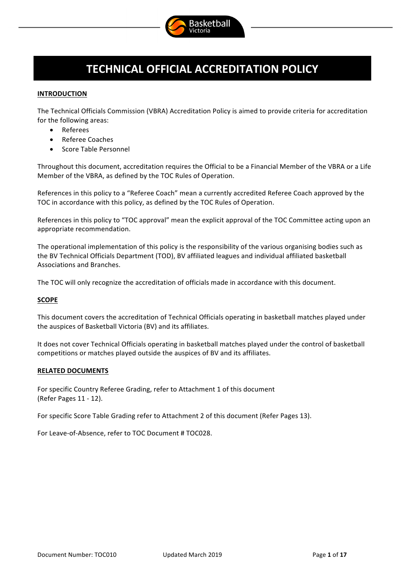

# **TECHNICAL OFFICIAL ACCREDITATION POLICY**

# **INTRODUCTION**

The Technical Officials Commission (VBRA) Accreditation Policy is aimed to provide criteria for accreditation for the following areas:

- Referees
- Referee Coaches
- Score Table Personnel

Throughout this document, accreditation requires the Official to be a Financial Member of the VBRA or a Life Member of the VBRA, as defined by the TOC Rules of Operation.

References in this policy to a "Referee Coach" mean a currently accredited Referee Coach approved by the TOC in accordance with this policy, as defined by the TOC Rules of Operation.

References in this policy to "TOC approval" mean the explicit approval of the TOC Committee acting upon an appropriate recommendation.

The operational implementation of this policy is the responsibility of the various organising bodies such as the BV Technical Officials Department (TOD), BV affiliated leagues and individual affiliated basketball Associations and Branches.

The TOC will only recognize the accreditation of officials made in accordance with this document.

# **SCOPE**

This document covers the accreditation of Technical Officials operating in basketball matches played under the auspices of Basketball Victoria (BV) and its affiliates.

It does not cover Technical Officials operating in basketball matches played under the control of basketball competitions or matches played outside the auspices of BV and its affiliates.

# **RELATED DOCUMENTS**

For specific Country Referee Grading, refer to Attachment 1 of this document (Refer Pages 11 - 12).

For specific Score Table Grading refer to Attachment 2 of this document (Refer Pages 13).

For Leave-of-Absence, refer to TOC Document # TOC028.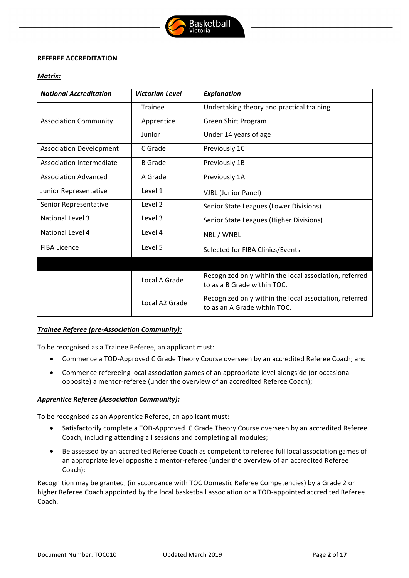

#### **REFEREE ACCREDITATION**

#### *Matrix:*

| <b>National Accreditation</b>  | <b>Victorian Level</b> | <b>Explanation</b>                                                                     |  |
|--------------------------------|------------------------|----------------------------------------------------------------------------------------|--|
|                                | <b>Trainee</b>         | Undertaking theory and practical training                                              |  |
| <b>Association Community</b>   | Apprentice             | Green Shirt Program                                                                    |  |
|                                | Junior                 | Under 14 years of age                                                                  |  |
| <b>Association Development</b> | C Grade                | Previously 1C                                                                          |  |
| Association Intermediate       | <b>B</b> Grade         | Previously 1B                                                                          |  |
| <b>Association Advanced</b>    | A Grade                | Previously 1A                                                                          |  |
| Junior Representative          | Level 1                | <b>VJBL (Junior Panel)</b>                                                             |  |
| Senior Representative          | Level 2                | Senior State Leagues (Lower Divisions)                                                 |  |
| National Level 3               | Level 3                | Senior State Leagues (Higher Divisions)                                                |  |
| National Level 4               | Level 4                | NBL / WNBL                                                                             |  |
| <b>FIBA Licence</b>            | Level 5                | Selected for FIBA Clinics/Events                                                       |  |
|                                |                        |                                                                                        |  |
|                                | Local A Grade          | Recognized only within the local association, referred<br>to as a B Grade within TOC.  |  |
|                                | Local A2 Grade         | Recognized only within the local association, referred<br>to as an A Grade within TOC. |  |

# *Trainee Referee (pre-Association Community):*

To be recognised as a Trainee Referee, an applicant must:

- Commence a TOD-Approved C Grade Theory Course overseen by an accredited Referee Coach; and
- Commence refereeing local association games of an appropriate level alongside (or occasional opposite) a mentor-referee (under the overview of an accredited Referee Coach);

# *Apprentice Referee (Association Community):*

To be recognised as an Apprentice Referee, an applicant must:

- Satisfactorily complete a TOD-Approved C Grade Theory Course overseen by an accredited Referee Coach, including attending all sessions and completing all modules;
- Be assessed by an accredited Referee Coach as competent to referee full local association games of an appropriate level opposite a mentor-referee (under the overview of an accredited Referee Coach);

Recognition may be granted, (in accordance with TOC Domestic Referee Competencies) by a Grade 2 or higher Referee Coach appointed by the local basketball association or a TOD-appointed accredited Referee Coach.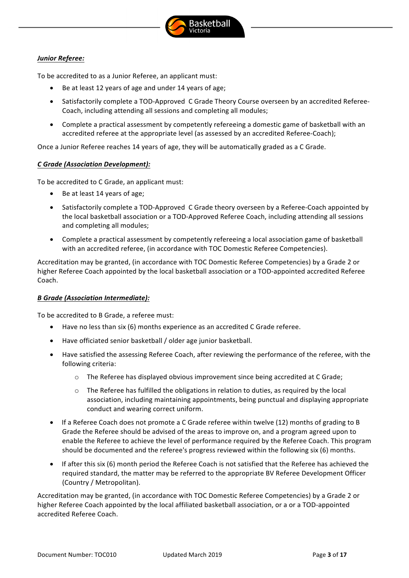

# *Junior Referee:*

To be accredited to as a Junior Referee, an applicant must:

- Be at least 12 years of age and under 14 years of age:
- Satisfactorily complete a TOD-Approved C Grade Theory Course overseen by an accredited Referee-Coach, including attending all sessions and completing all modules;
- Complete a practical assessment by competently refereeing a domestic game of basketball with an accredited referee at the appropriate level (as assessed by an accredited Referee-Coach);

Once a Junior Referee reaches 14 years of age, they will be automatically graded as a C Grade.

# *C Grade (Association Development):*

To be accredited to C Grade, an applicant must:

- $\bullet$  Be at least 14 years of age;
- Satisfactorily complete a TOD-Approved C Grade theory overseen by a Referee-Coach appointed by the local basketball association or a TOD-Approved Referee Coach, including attending all sessions and completing all modules;
- Complete a practical assessment by competently refereeing a local association game of basketball with an accredited referee, (in accordance with TOC Domestic Referee Competencies).

Accreditation may be granted, (in accordance with TOC Domestic Referee Competencies) by a Grade 2 or higher Referee Coach appointed by the local basketball association or a TOD-appointed accredited Referee Coach.

# *B Grade (Association Intermediate):*

To be accredited to B Grade, a referee must:

- $\bullet$  Have no less than six (6) months experience as an accredited C Grade referee.
- Have officiated senior basketball / older age junior basketball.
- Have satisfied the assessing Referee Coach, after reviewing the performance of the referee, with the following criteria:
	- $\circ$  The Referee has displayed obvious improvement since being accredited at C Grade;
	- $\circ$  The Referee has fulfilled the obligations in relation to duties, as required by the local association, including maintaining appointments, being punctual and displaying appropriate conduct and wearing correct uniform.
- If a Referee Coach does not promote a C Grade referee within twelve (12) months of grading to B Grade the Referee should be advised of the areas to improve on, and a program agreed upon to enable the Referee to achieve the level of performance required by the Referee Coach. This program should be documented and the referee's progress reviewed within the following six (6) months.
- If after this six (6) month period the Referee Coach is not satisfied that the Referee has achieved the required standard, the matter may be referred to the appropriate BV Referee Development Officer (Country / Metropolitan).

Accreditation may be granted, (in accordance with TOC Domestic Referee Competencies) by a Grade 2 or higher Referee Coach appointed by the local affiliated basketball association, or a or a TOD-appointed accredited Referee Coach.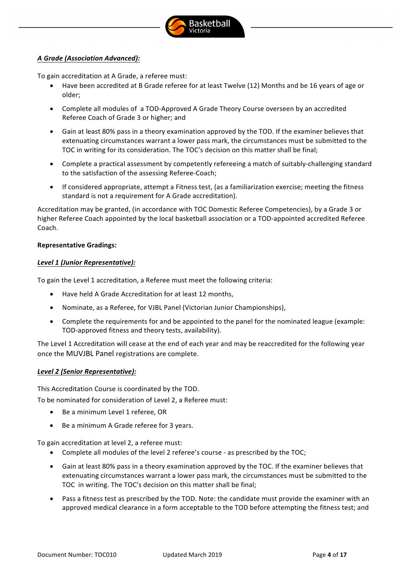

# *A Grade (Association Advanced):*

To gain accreditation at A Grade, a referee must:

- Have been accredited at B Grade referee for at least Twelve (12) Months and be 16 years of age or older;
- Complete all modules of a TOD-Approved A Grade Theory Course overseen by an accredited Referee Coach of Grade 3 or higher; and
- Gain at least 80% pass in a theory examination approved by the TOD. If the examiner believes that extenuating circumstances warrant a lower pass mark, the circumstances must be submitted to the TOC in writing for its consideration. The TOC's decision on this matter shall be final;
- Complete a practical assessment by competently refereeing a match of suitably-challenging standard to the satisfaction of the assessing Referee-Coach;
- If considered appropriate, attempt a Fitness test, (as a familiarization exercise; meeting the fitness standard is not a requirement for A Grade accreditation).

Accreditation may be granted, (in accordance with TOC Domestic Referee Competencies), by a Grade 3 or higher Referee Coach appointed by the local basketball association or a TOD-appointed accredited Referee Coach.

#### **Representative Gradings:**

#### *Level 1 (Junior Representative):*

To gain the Level 1 accreditation, a Referee must meet the following criteria:

- Have held A Grade Accreditation for at least 12 months,
- Nominate, as a Referee, for VJBL Panel (Victorian Junior Championships),
- Complete the requirements for and be appointed to the panel for the nominated league (example: TOD-approved fitness and theory tests, availability).

The Level 1 Accreditation will cease at the end of each year and may be reaccredited for the following year once the MUVJBL Panel registrations are complete.

# *Level 2 (Senior Representative):*

This Accreditation Course is coordinated by the TOD.

To be nominated for consideration of Level 2, a Referee must:

- Be a minimum Level 1 referee, OR
- Be a minimum A Grade referee for 3 years.

To gain accreditation at level 2, a referee must:

- Complete all modules of the level 2 referee's course as prescribed by the TOC;
- Gain at least 80% pass in a theory examination approved by the TOC. If the examiner believes that extenuating circumstances warrant a lower pass mark, the circumstances must be submitted to the TOC in writing. The TOC's decision on this matter shall be final;
- Pass a fitness test as prescribed by the TOD. Note: the candidate must provide the examiner with an approved medical clearance in a form acceptable to the TOD before attempting the fitness test; and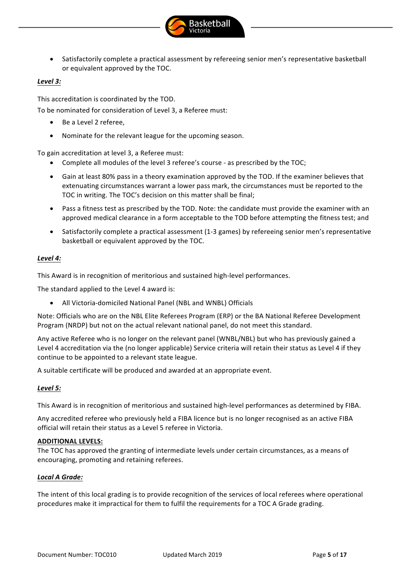

Satisfactorily complete a practical assessment by refereeing senior men's representative basketball or equivalent approved by the TOC.

# *Level 3:*

This accreditation is coordinated by the TOD.

To be nominated for consideration of Level 3, a Referee must:

- Be a Level 2 referee,
- Nominate for the relevant league for the upcoming season.

To gain accreditation at level 3, a Referee must:

- Complete all modules of the level 3 referee's course as prescribed by the TOC;
- Gain at least 80% pass in a theory examination approved by the TOD. If the examiner believes that extenuating circumstances warrant a lower pass mark, the circumstances must be reported to the TOC in writing. The TOC's decision on this matter shall be final:
- Pass a fitness test as prescribed by the TOD. Note: the candidate must provide the examiner with an approved medical clearance in a form acceptable to the TOD before attempting the fitness test; and
- Satisfactorily complete a practical assessment (1-3 games) by refereeing senior men's representative basketball or equivalent approved by the TOC.

# *Level 4:*

This Award is in recognition of meritorious and sustained high-level performances.

The standard applied to the Level 4 award is:

All Victoria-domiciled National Panel (NBL and WNBL) Officials

Note: Officials who are on the NBL Elite Referees Program (ERP) or the BA National Referee Development Program (NRDP) but not on the actual relevant national panel, do not meet this standard.

Any active Referee who is no longer on the relevant panel (WNBL/NBL) but who has previously gained a Level 4 accreditation via the (no longer applicable) Service criteria will retain their status as Level 4 if they continue to be appointed to a relevant state league.

A suitable certificate will be produced and awarded at an appropriate event.

# *Level 5:*

This Award is in recognition of meritorious and sustained high-level performances as determined by FIBA.

Any accredited referee who previously held a FIBA licence but is no longer recognised as an active FIBA official will retain their status as a Level 5 referee in Victoria.

# **ADDITIONAL LEVELS:**

The TOC has approved the granting of intermediate levels under certain circumstances, as a means of encouraging, promoting and retaining referees.

# *Local A Grade:*

The intent of this local grading is to provide recognition of the services of local referees where operational procedures make it impractical for them to fulfil the requirements for a TOC A Grade grading.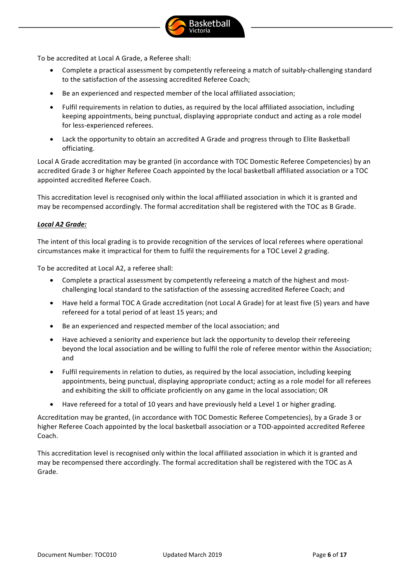

To be accredited at Local A Grade, a Referee shall:

- Complete a practical assessment by competently refereeing a match of suitably-challenging standard to the satisfaction of the assessing accredited Referee Coach;
- Be an experienced and respected member of the local affiliated association;
- Fulfil requirements in relation to duties, as required by the local affiliated association, including keeping appointments, being punctual, displaying appropriate conduct and acting as a role model for less-experienced referees.
- Lack the opportunity to obtain an accredited A Grade and progress through to Elite Basketball officiating.

Local A Grade accreditation may be granted (in accordance with TOC Domestic Referee Competencies) by an accredited Grade 3 or higher Referee Coach appointed by the local basketball affiliated association or a TOC appointed accredited Referee Coach.

This accreditation level is recognised only within the local affiliated association in which it is granted and may be recompensed accordingly. The formal accreditation shall be registered with the TOC as B Grade.

#### *Local A2 Grade:*

The intent of this local grading is to provide recognition of the services of local referees where operational circumstances make it impractical for them to fulfil the requirements for a TOC Level 2 grading.

To be accredited at Local A2, a referee shall:

- Complete a practical assessment by competently refereeing a match of the highest and mostchallenging local standard to the satisfaction of the assessing accredited Referee Coach; and
- Have held a formal TOC A Grade accreditation (not Local A Grade) for at least five (5) years and have refereed for a total period of at least 15 years; and
- Be an experienced and respected member of the local association; and
- Have achieved a seniority and experience but lack the opportunity to develop their refereeing beyond the local association and be willing to fulfil the role of referee mentor within the Association; and
- Fulfil requirements in relation to duties, as required by the local association, including keeping appointments, being punctual, displaying appropriate conduct; acting as a role model for all referees and exhibiting the skill to officiate proficiently on any game in the local association; OR
- $\bullet$  Have refereed for a total of 10 years and have previously held a Level 1 or higher grading.

Accreditation may be granted, (in accordance with TOC Domestic Referee Competencies), by a Grade 3 or higher Referee Coach appointed by the local basketball association or a TOD-appointed accredited Referee Coach.

This accreditation level is recognised only within the local affiliated association in which it is granted and may be recompensed there accordingly. The formal accreditation shall be registered with the TOC as A Grade.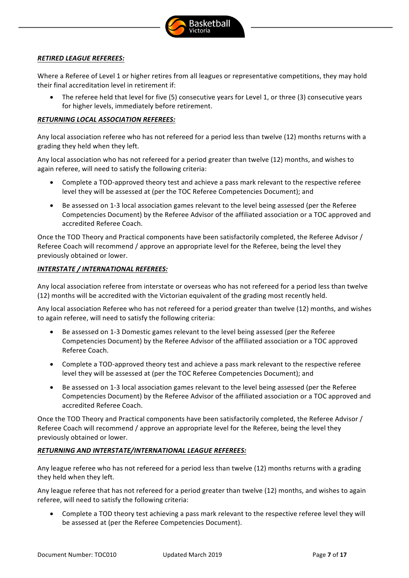

# *RETIRED LEAGUE REFEREES:*

Where a Referee of Level 1 or higher retires from all leagues or representative competitions, they may hold their final accreditation level in retirement if:

• The referee held that level for five (5) consecutive years for Level 1, or three (3) consecutive years for higher levels, immediately before retirement.

#### *RETURNING LOCAL ASSOCIATION REFEREES:*

Any local association referee who has not refereed for a period less than twelve (12) months returns with a grading they held when they left.

Any local association who has not refereed for a period greater than twelve (12) months, and wishes to again referee, will need to satisfy the following criteria:

- Complete a TOD-approved theory test and achieve a pass mark relevant to the respective referee level they will be assessed at (per the TOC Referee Competencies Document); and
- Be assessed on 1-3 local association games relevant to the level being assessed (per the Referee Competencies Document) by the Referee Advisor of the affiliated association or a TOC approved and accredited Referee Coach.

Once the TOD Theory and Practical components have been satisfactorily completed, the Referee Advisor / Referee Coach will recommend / approve an appropriate level for the Referee, being the level they previously obtained or lower.

#### **INTERSTATE / INTERNATIONAL REFEREES:**

Any local association referee from interstate or overseas who has not refereed for a period less than twelve (12) months will be accredited with the Victorian equivalent of the grading most recently held.

Any local association Referee who has not refereed for a period greater than twelve (12) months, and wishes to again referee, will need to satisfy the following criteria:

- Be assessed on 1-3 Domestic games relevant to the level being assessed (per the Referee Competencies Document) by the Referee Advisor of the affiliated association or a TOC approved Referee Coach.
- Complete a TOD-approved theory test and achieve a pass mark relevant to the respective referee level they will be assessed at (per the TOC Referee Competencies Document); and
- Be assessed on 1-3 local association games relevant to the level being assessed (per the Referee Competencies Document) by the Referee Advisor of the affiliated association or a TOC approved and accredited Referee Coach.

Once the TOD Theory and Practical components have been satisfactorily completed, the Referee Advisor / Referee Coach will recommend / approve an appropriate level for the Referee, being the level they previously obtained or lower.

# *RETURNING AND INTERSTATE/INTERNATIONAL LEAGUE REFEREES:*

Any league referee who has not refereed for a period less than twelve (12) months returns with a grading they held when they left.

Any league referee that has not refereed for a period greater than twelve (12) months, and wishes to again referee, will need to satisfy the following criteria:

Complete a TOD theory test achieving a pass mark relevant to the respective referee level they will be assessed at (per the Referee Competencies Document).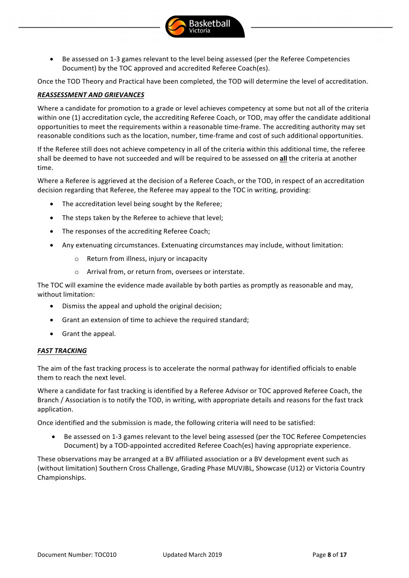

**Basketball** 

Once the TOD Theory and Practical have been completed, the TOD will determine the level of accreditation.

#### **REASSESSMENT AND GRIEVANCES**

Where a candidate for promotion to a grade or level achieves competency at some but not all of the criteria within one (1) accreditation cycle, the accrediting Referee Coach, or TOD, may offer the candidate additional opportunities to meet the requirements within a reasonable time-frame. The accrediting authority may set reasonable conditions such as the location, number, time-frame and cost of such additional opportunities.

If the Referee still does not achieve competency in all of the criteria within this additional time, the referee shall be deemed to have not succeeded and will be required to be assessed on all the criteria at another time. 

Where a Referee is aggrieved at the decision of a Referee Coach, or the TOD, in respect of an accreditation decision regarding that Referee, the Referee may appeal to the TOC in writing, providing:

- The accreditation level being sought by the Referee;
- The steps taken by the Referee to achieve that level;
- The responses of the accrediting Referee Coach:
- Any extenuating circumstances. Extenuating circumstances may include, without limitation:
	- $\circ$  Return from illness, injury or incapacity
	- $\circ$  Arrival from, or return from, oversees or interstate.

The TOC will examine the evidence made available by both parties as promptly as reasonable and may, without limitation:

- $\bullet$  Dismiss the appeal and uphold the original decision:
- Grant an extension of time to achieve the required standard;
- Grant the appeal.

#### **FAST TRACKING**

The aim of the fast tracking process is to accelerate the normal pathway for identified officials to enable them to reach the next level.

Where a candidate for fast tracking is identified by a Referee Advisor or TOC approved Referee Coach, the Branch / Association is to notify the TOD, in writing, with appropriate details and reasons for the fast track application. 

Once identified and the submission is made, the following criteria will need to be satisfied:

• Be assessed on 1-3 games relevant to the level being assessed (per the TOC Referee Competencies Document) by a TOD-appointed accredited Referee Coach(es) having appropriate experience.

These observations may be arranged at a BV affiliated association or a BV development event such as (without limitation) Southern Cross Challenge, Grading Phase MUVJBL, Showcase (U12) or Victoria Country Championships.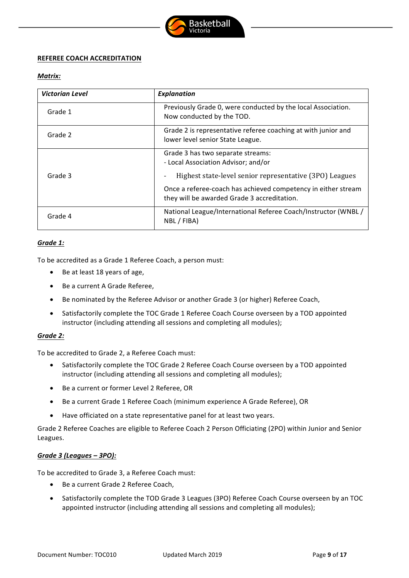

# **REFEREE COACH ACCREDITATION**

# *Matrix:*

| <b>Victorian Level</b> | <b>Explanation</b>                                                                                           |  |  |
|------------------------|--------------------------------------------------------------------------------------------------------------|--|--|
| Grade 1                | Previously Grade 0, were conducted by the local Association.<br>Now conducted by the TOD.                    |  |  |
| Grade 2                | Grade 2 is representative referee coaching at with junior and<br>lower level senior State League.            |  |  |
|                        | Grade 3 has two separate streams:<br>- Local Association Advisor; and/or                                     |  |  |
| Grade 3                | Highest state-level senior representative (3PO) Leagues                                                      |  |  |
|                        | Once a referee-coach has achieved competency in either stream<br>they will be awarded Grade 3 accreditation. |  |  |
| Grade 4                | National League/International Referee Coach/Instructor (WNBL/<br>NBL / FIBA)                                 |  |  |

# *Grade 1:*

To be accredited as a Grade 1 Referee Coach, a person must:

- $\bullet$  Be at least 18 years of age,
- Be a current A Grade Referee,
- Be nominated by the Referee Advisor or another Grade 3 (or higher) Referee Coach,
- Satisfactorily complete the TOC Grade 1 Referee Coach Course overseen by a TOD appointed instructor (including attending all sessions and completing all modules);

# *Grade 2:*

To be accredited to Grade 2, a Referee Coach must:

- Satisfactorily complete the TOC Grade 2 Referee Coach Course overseen by a TOD appointed instructor (including attending all sessions and completing all modules);
- Be a current or former Level 2 Referee, OR
- Be a current Grade 1 Referee Coach (minimum experience A Grade Referee), OR
- Have officiated on a state representative panel for at least two years.

Grade 2 Referee Coaches are eligible to Referee Coach 2 Person Officiating (2PO) within Junior and Senior Leagues.

# *Grade 3 (Leagues – 3PO):*

To be accredited to Grade 3, a Referee Coach must:

- Be a current Grade 2 Referee Coach,
- Satisfactorily complete the TOD Grade 3 Leagues (3PO) Referee Coach Course overseen by an TOC appointed instructor (including attending all sessions and completing all modules);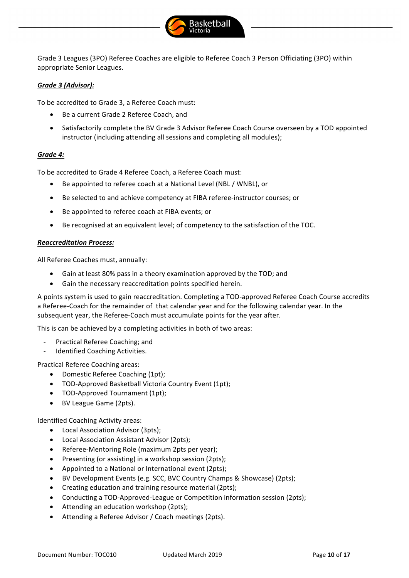

Grade 3 Leagues (3PO) Referee Coaches are eligible to Referee Coach 3 Person Officiating (3PO) within appropriate Senior Leagues.

# *Grade 3 (Advisor):*

To be accredited to Grade 3, a Referee Coach must:

- Be a current Grade 2 Referee Coach, and
- Satisfactorily complete the BV Grade 3 Advisor Referee Coach Course overseen by a TOD appointed instructor (including attending all sessions and completing all modules);

# *Grade 4:*

To be accredited to Grade 4 Referee Coach, a Referee Coach must:

- Be appointed to referee coach at a National Level (NBL / WNBL), or
- Be selected to and achieve competency at FIBA referee-instructor courses; or
- Be appointed to referee coach at FIBA events; or
- Be recognised at an equivalent level; of competency to the satisfaction of the TOC.

#### *Reaccreditation Process:*

All Referee Coaches must, annually:

- Gain at least 80% pass in a theory examination approved by the TOD; and
- Gain the necessary reaccreditation points specified herein.

A points system is used to gain reaccreditation. Completing a TOD-approved Referee Coach Course accredits a Referee-Coach for the remainder of that calendar year and for the following calendar year. In the subsequent year, the Referee-Coach must accumulate points for the year after.

This is can be achieved by a completing activities in both of two areas:

- Practical Referee Coaching; and
- Identified Coaching Activities.

Practical Referee Coaching areas:

- Domestic Referee Coaching (1pt);
- TOD-Approved Basketball Victoria Country Event (1pt);
- TOD-Approved Tournament (1pt);
- BV League Game (2pts).

Identified Coaching Activity areas:

- Local Association Advisor (3pts);
- Local Association Assistant Advisor (2pts);
- Referee-Mentoring Role (maximum 2pts per year);
- Presenting (or assisting) in a workshop session (2pts);
- Appointed to a National or International event (2pts);
- BV Development Events (e.g. SCC, BVC Country Champs & Showcase) (2pts);
- Creating education and training resource material (2pts);
- Conducting a TOD-Approved-League or Competition information session (2pts);
- Attending an education workshop (2pts);
- Attending a Referee Advisor / Coach meetings (2pts).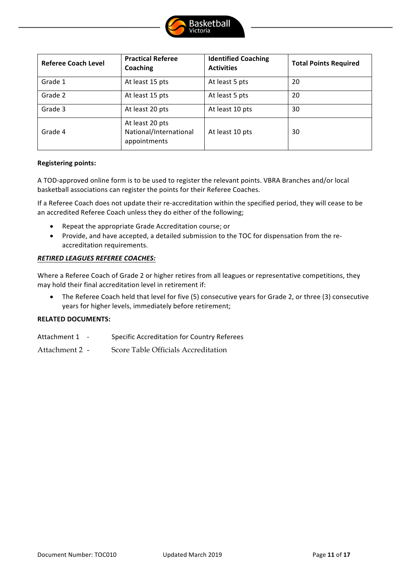

| <b>Referee Coach Level</b> | <b>Practical Referee</b><br>Coaching                      | <b>Identified Coaching</b><br><b>Activities</b> | <b>Total Points Required</b> |
|----------------------------|-----------------------------------------------------------|-------------------------------------------------|------------------------------|
| Grade 1                    | At least 15 pts                                           | At least 5 pts                                  | 20                           |
| Grade 2                    | At least 15 pts                                           | At least 5 pts                                  | 20                           |
| Grade 3                    | At least 20 pts                                           | At least 10 pts                                 | 30                           |
| Grade 4                    | At least 20 pts<br>National/International<br>appointments | At least 10 pts                                 | 30                           |

#### **Registering points:**

A TOD-approved online form is to be used to register the relevant points. VBRA Branches and/or local basketball associations can register the points for their Referee Coaches.

If a Referee Coach does not update their re-accreditation within the specified period, they will cease to be an accredited Referee Coach unless they do either of the following;

- Repeat the appropriate Grade Accreditation course; or
- Provide, and have accepted, a detailed submission to the TOC for dispensation from the reaccreditation requirements.

#### *RETIRED LEAGUES REFEREE COACHES:*

Where a Referee Coach of Grade 2 or higher retires from all leagues or representative competitions, they may hold their final accreditation level in retirement if:

• The Referee Coach held that level for five (5) consecutive years for Grade 2, or three (3) consecutive years for higher levels, immediately before retirement;

#### **RELATED DOCUMENTS:**

- Attachment 1 Specific Accreditation for Country Referees
- Attachment 2 Score Table Officials Accreditation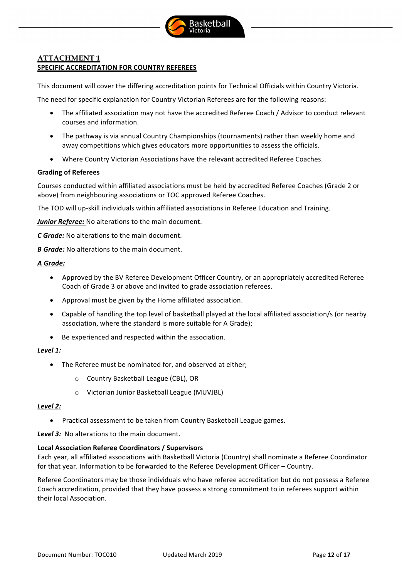

# **ATTACHMENT 1 SPECIFIC ACCREDITATION FOR COUNTRY REFEREES**

This document will cover the differing accreditation points for Technical Officials within Country Victoria.

The need for specific explanation for Country Victorian Referees are for the following reasons:

- The affiliated association may not have the accredited Referee Coach / Advisor to conduct relevant courses and information.
- The pathway is via annual Country Championships (tournaments) rather than weekly home and away competitions which gives educators more opportunities to assess the officials.
- Where Country Victorian Associations have the relevant accredited Referee Coaches.

# **Grading of Referees**

Courses conducted within affiliated associations must be held by accredited Referee Coaches (Grade 2 or above) from neighbouring associations or TOC approved Referee Coaches.

The TOD will up-skill individuals within affiliated associations in Referee Education and Training.

Junior Referee: No alterations to the main document.

*C* Grade: No alterations to the main document.

*B* Grade: No alterations to the main document.

# *A Grade:*

- Approved by the BV Referee Development Officer Country, or an appropriately accredited Referee Coach of Grade 3 or above and invited to grade association referees.
- Approval must be given by the Home affiliated association.
- Capable of handling the top level of basketball played at the local affiliated association/s (or nearby association, where the standard is more suitable for A Grade);
- Be experienced and respected within the association.

# *Level 1:*

- The Referee must be nominated for, and observed at either;
	- o Country Basketball League (CBL), OR
	- $\circ$  Victorian Junior Basketball League (MUVJBL)

#### *Level 2:*

• Practical assessment to be taken from Country Basketball League games.

**Level 3:** No alterations to the main document.

# **Local Association Referee Coordinators / Supervisors**

Each year, all affiliated associations with Basketball Victoria (Country) shall nominate a Referee Coordinator for that year. Information to be forwarded to the Referee Development Officer – Country.

Referee Coordinators may be those individuals who have referee accreditation but do not possess a Referee Coach accreditation, provided that they have possess a strong commitment to in referees support within their local Association.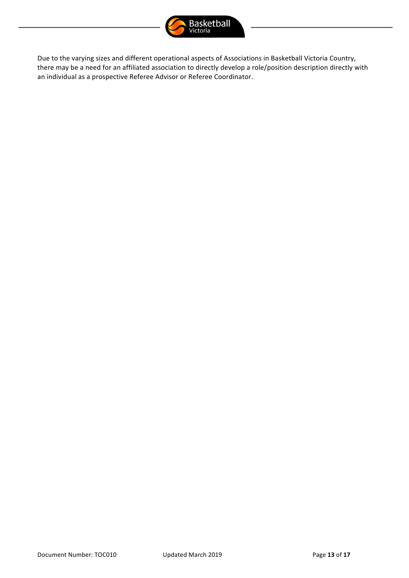

Due to the varying sizes and different operational aspects of Associations in Basketball Victoria Country, there may be a need for an affiliated association to directly develop a role/position description directly with an individual as a prospective Referee Advisor or Referee Coordinator.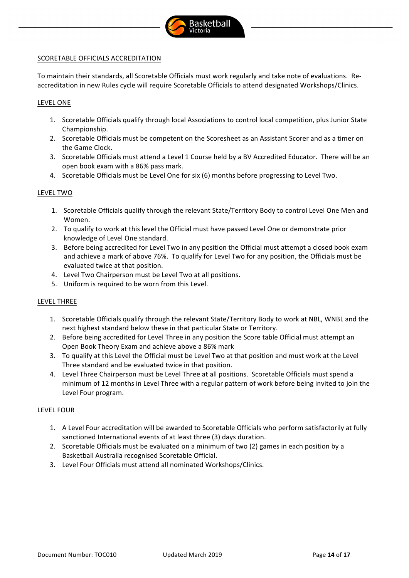

# SCORETABLE OFFICIALS ACCREDITATION

To maintain their standards, all Scoretable Officials must work regularly and take note of evaluations. Reaccreditation in new Rules cycle will require Scoretable Officials to attend designated Workshops/Clinics.

#### LEVEL ONE

- 1. Scoretable Officials qualify through local Associations to control local competition, plus Junior State Championship.
- 2. Scoretable Officials must be competent on the Scoresheet as an Assistant Scorer and as a timer on the Game Clock.
- 3. Scoretable Officials must attend a Level 1 Course held by a BV Accredited Educator. There will be an open book exam with a 86% pass mark.
- 4. Scoretable Officials must be Level One for six (6) months before progressing to Level Two.

#### LEVEL TWO

- 1. Scoretable Officials qualify through the relevant State/Territory Body to control Level One Men and Women.
- 2. To qualify to work at this level the Official must have passed Level One or demonstrate prior knowledge of Level One standard.
- 3. Before being accredited for Level Two in any position the Official must attempt a closed book exam and achieve a mark of above 76%. To qualify for Level Two for any position, the Officials must be evaluated twice at that position.
- 4. Level Two Chairperson must be Level Two at all positions.
- 5. Uniform is required to be worn from this Level.

# LEVEL THREE

- 1. Scoretable Officials qualify through the relevant State/Territory Body to work at NBL, WNBL and the next highest standard below these in that particular State or Territory.
- 2. Before being accredited for Level Three in any position the Score table Official must attempt an Open Book Theory Exam and achieve above a 86% mark
- 3. To qualify at this Level the Official must be Level Two at that position and must work at the Level Three standard and be evaluated twice in that position.
- 4. Level Three Chairperson must be Level Three at all positions. Scoretable Officials must spend a minimum of 12 months in Level Three with a regular pattern of work before being invited to join the Level Four program.

#### LEVEL FOUR

- 1. A Level Four accreditation will be awarded to Scoretable Officials who perform satisfactorily at fully sanctioned International events of at least three (3) days duration.
- 2. Scoretable Officials must be evaluated on a minimum of two (2) games in each position by a Basketball Australia recognised Scoretable Official.
- 3. Level Four Officials must attend all nominated Workshops/Clinics.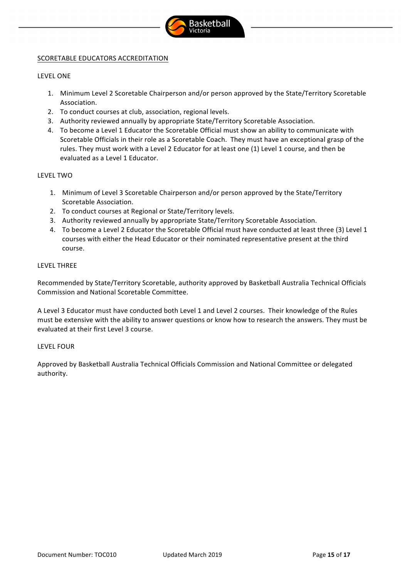

# SCORETABLE EDUCATORS ACCREDITATION

#### LEVEL ONE

- 1. Minimum Level 2 Scoretable Chairperson and/or person approved by the State/Territory Scoretable Association.
- 2. To conduct courses at club, association, regional levels.
- 3. Authority reviewed annually by appropriate State/Territory Scoretable Association.
- 4. To become a Level 1 Educator the Scoretable Official must show an ability to communicate with Scoretable Officials in their role as a Scoretable Coach. They must have an exceptional grasp of the rules. They must work with a Level 2 Educator for at least one (1) Level 1 course, and then be evaluated as a Level 1 Educator.

#### LEVEL TWO

- 1. Minimum of Level 3 Scoretable Chairperson and/or person approved by the State/Territory Scoretable Association.
- 2. To conduct courses at Regional or State/Territory levels.
- 3. Authority reviewed annually by appropriate State/Territory Scoretable Association.
- 4. To become a Level 2 Educator the Scoretable Official must have conducted at least three (3) Level 1 courses with either the Head Educator or their nominated representative present at the third course.

#### LEVEL THREE

Recommended by State/Territory Scoretable, authority approved by Basketball Australia Technical Officials Commission and National Scoretable Committee.

A Level 3 Educator must have conducted both Level 1 and Level 2 courses. Their knowledge of the Rules must be extensive with the ability to answer questions or know how to research the answers. They must be evaluated at their first Level 3 course.

#### LEVEL FOUR

Approved by Basketball Australia Technical Officials Commission and National Committee or delegated authority.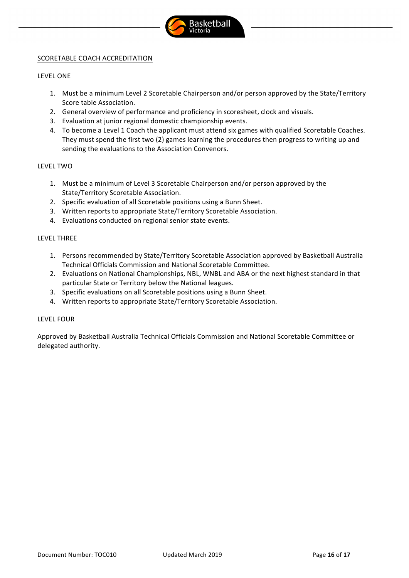

# SCORETABLE COACH ACCREDITATION

#### LEVEL ONE

- 1. Must be a minimum Level 2 Scoretable Chairperson and/or person approved by the State/Territory Score table Association.
- 2. General overview of performance and proficiency in scoresheet, clock and visuals.
- 3. Evaluation at junior regional domestic championship events.
- 4. To become a Level 1 Coach the applicant must attend six games with qualified Scoretable Coaches. They must spend the first two (2) games learning the procedures then progress to writing up and sending the evaluations to the Association Convenors.

#### LEVEL TWO

- 1. Must be a minimum of Level 3 Scoretable Chairperson and/or person approved by the State/Territory Scoretable Association.
- 2. Specific evaluation of all Scoretable positions using a Bunn Sheet.
- 3. Written reports to appropriate State/Territory Scoretable Association.
- 4. Evaluations conducted on regional senior state events.

#### LEVEL THREE

- 1. Persons recommended by State/Territory Scoretable Association approved by Basketball Australia Technical Officials Commission and National Scoretable Committee.
- 2. Evaluations on National Championships, NBL, WNBL and ABA or the next highest standard in that particular State or Territory below the National leagues.
- 3. Specific evaluations on all Scoretable positions using a Bunn Sheet.
- 4. Written reports to appropriate State/Territory Scoretable Association.

# LEVEL FOUR

Approved by Basketball Australia Technical Officials Commission and National Scoretable Committee or delegated authority.